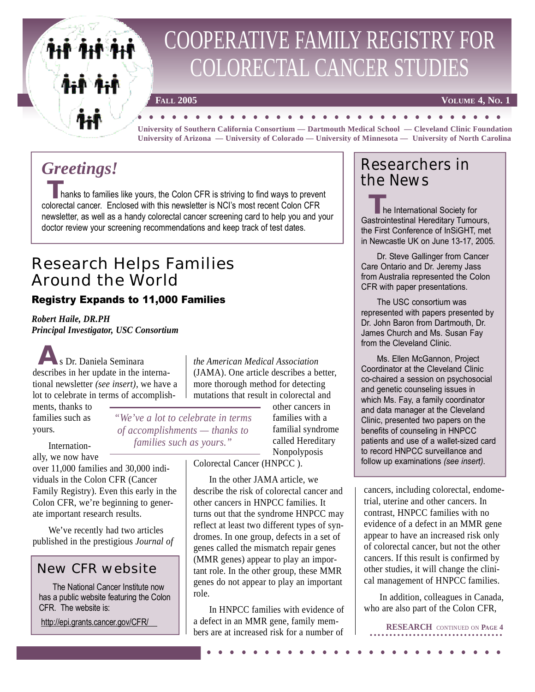

# COOPERATIVE FAMILY REGISTRY FOR COLORECTAL CANCER STUDIES

**F**ALL 2005 **VOLUME 4, No. 1** 

**FALL 2005** VOLUME 4, No. **University of Southern California Consortium — Dartmouth Medical School — Cleveland Clinic Foundation University of Arizona — University of Colorado — University of Minnesota — University of North Carolina**

## *Greetings!*

Thanks to families like yours, the Colon CFR is striving to find ways to prevent colorectal cancer. Enclosed with this newsletter is NCI's most recent Colon CFR newsletter, as well as a handy colorectal cancer screening card to help you and your doctor review your screening recommendations and keep track of test dates.

### Research Helps Families Around the World

#### Registry Expands to 11,000 Families

*Robert Haile, DR.PH Principal Investigator, USC Consortium*

s Dr. Daniela Seminara describes in her update in the international newsletter *(see insert)*, we have a lot to celebrate in terms of accomplish-**A**

ments, thanks to families such as yours.

Internation-

*of accomplishments — thanks to families such as yours."*

ally, we now have over 11,000 families and 30,000 individuals in the Colon CFR (Cancer Family Registry). Even this early in the Colon CFR, we're beginning to generate important research results.

We've recently had two articles published in the prestigious *Journal of*

#### New CFR website

The National Cancer Institute now has a public website featuring the Colon CFR. The website is:

<http://epi.grants.cancer.gov/CFR/>

*the American Medical Association* (JAMA). One article describes a better, more thorough method for detecting mutations that result in colorectal and

*"We've a lot to celebrate in terms*

other cancers in families with a familial syndrome called Hereditary Nonpolyposis

Colorectal Cancer (HNPCC ).

In the other JAMA article, we describe the risk of colorectal cancer and other cancers in HNPCC families. It turns out that the syndrome HNPCC may reflect at least two different types of syndromes. In one group, defects in a set of genes called the mismatch repair genes (MMR genes) appear to play an important role. In the other group, these MMR genes do not appear to play an important role.

In HNPCC families with evidence of a defect in an MMR gene, family members are at increased risk for a number of . . . .... . .... . .... . .... . ...

### Researchers in the News

he International Society for The International Society for<br>Gastrointestinal Hereditary Tumours, the First Conference of InSiGHT, met in Newcastle UK on June 13-17, 2005.

Dr. Steve Gallinger from Cancer Care Ontario and Dr. Jeremy Jass from Australia represented the Colon CFR with paper presentations.

The USC consortium was represented with papers presented by Dr. John Baron from Dartmouth, Dr. James Church and Ms. Susan Fay from the Cleveland Clinic.

Ms. Ellen McGannon, Project Coordinator at the Cleveland Clinic co-chaired a session on psychosocial and genetic counseling issues in which Ms. Fay, a family coordinator and data manager at the Cleveland Clinic, presented two papers on the benefits of counseling in HNPCC patients and use of a wallet-sized card to record HNPCC surveillance and follow up examinations *(see insert)*.

cancers, including colorectal, endometrial, uterine and other cancers. In contrast, HNPCC families with no evidence of a defect in an MMR gene appear to have an increased risk only of colorectal cancer, but not the other cancers. If this result is confirmed by other studies, it will change the clinical management of HNPCC families.

In addition, colleagues in Canada, who are also part of the Colon CFR,

**RESEARCH** CONTINUED ON **PAGE 4**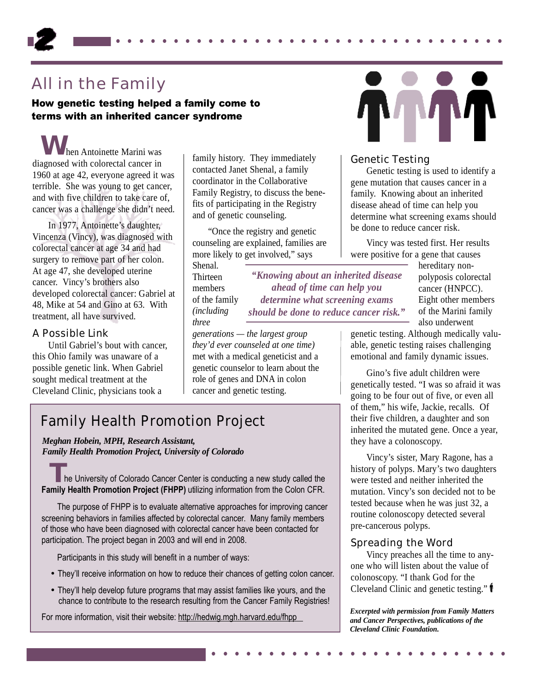### All in the Family

How genetic testing helped a family come to terms with an inherited cancer syndrome

hen Antoinette Marini was diagnosed with colorectal cancer in 1960 at age 42, everyone agreed it was terrible. She was young to get cancer, and with five children to take care of, cancer was a challenge she didn't need. **W**

In 1977, Antoinette's daughter, Vincenza (Vincy), was diagnosed with colorectal cancer at age 34 and had surgery to remove part of her colon. At age 47, she developed uterine cancer. Vincy's brothers also developed colorectal cancer: Gabriel at 48, Mike at 54 and Gino at 63. With treatment, all have survived.

#### A Possible Link

Until Gabriel's bout with cancer, this Ohio family was unaware of a possible genetic link. When Gabriel sought medical treatment at the Cleveland Clinic, physicians took a

family history. They immediately contacted Janet Shenal, a family coordinator in the Collaborative Family Registry, to discuss the benefits of participating in the Registry and of genetic counseling.

"Once the registry and genetic counseling are explained, families are more likely to get involved," says

Shenal. Thirteen members of the family *(including three* 

*"Knowing about an inherited disease ahead of time can help you determine what screening exams should be done to reduce cancer risk."*

. . .... . .... . .... . .... . .... . .... . . .

*generations — the largest group they'd ever counseled at one time)* met with a medical geneticist and a genetic counselor to learn about the role of genes and DNA in colon cancer and genetic testing.

### Family Health Promotion Project

*Meghan Hobein, MPH, Research Assistant, Family Health Promotion Project, University of Colorado* 

The University of Colorado Cancer Center is conducting a new study called the **Family Health Promotion Project (FHPP)** utilizing information from the Colon CFR.

The purpose of FHPP is to evaluate alternative approaches for improving cancer screening behaviors in families affected by colorectal cancer. Many family members of those who have been diagnosed with colorectal cancer have been contacted for participation. The project began in 2003 and will end in 2008.

Participants in this study will benefit in a number of ways:

- They'll receive information on how to reduce their chances of getting colon cancer.
- They'll help develop future programs that may assist families like yours, and the chance to contribute to the research resulting from the Cancer Family Registries!

For more information, visit their website:<http://hedwig.mgh.harvard.edu/fhpp>

#### Genetic Testing

Genetic testing is used to identify a gene mutation that causes cancer in a family. Knowing about an inherited disease ahead of time can help you determine what screening exams should be done to reduce cancer risk.

Vincy was tested first. Her results were positive for a gene that causes

hereditary nonpolyposis colorectal cancer (HNPCC). Eight other members of the Marini family also underwent

genetic testing. Although medically valuable, genetic testing raises challenging emotional and family dynamic issues.

Gino's five adult children were genetically tested. "I was so afraid it was going to be four out of five, or even all of them," his wife, Jackie, recalls. Of their five children, a daughter and son inherited the mutated gene. Once a year, they have a colonoscopy.

Vincy's sister, Mary Ragone, has a history of polyps. Mary's two daughters were tested and neither inherited the mutation. Vincy's son decided not to be tested because when he was just 32, a routine colonoscopy detected several pre-cancerous polyps.

#### Spreading the Word

Vincy preaches all the time to anyone who will listen about the value of colonoscopy. "I thank God for the Cleveland Clinic and genetic testing."

*Excerpted with permission from Family Matters and Cancer Perspectives, publications of the Cleveland Clinic Foundation.*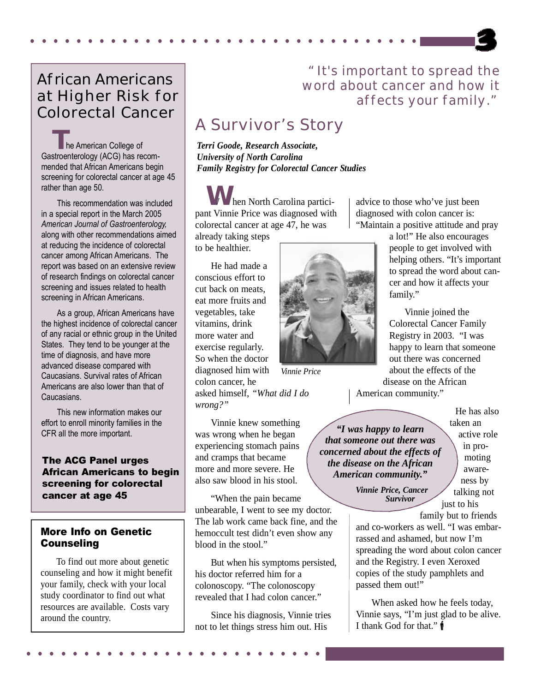### African Americans at Higher Risk for Colorectal Cancer

The American College of Gastroenterology (ACG) has recommended that African Americans begin screening for colorectal cancer at age 45 rather than age 50.

This recommendation was included in a special report in the March 2005 *American Journal of Gastroenterology,* along with other recommendations aimed at reducing the incidence of colorectal cancer among African Americans. The report was based on an extensive review of research findings on colorectal cancer screening and issues related to health screening in African Americans.

As a group, African Americans have the highest incidence of colorectal cancer of any racial or ethnic group in the United States. They tend to be younger at the time of diagnosis, and have more advanced disease compared with Caucasians. Survival rates of African Americans are also lower than that of Caucasians.

This new information makes our effort to enroll minority families in the CFR all the more important.

#### The ACG Panel urges African Americans to begin screening for colorectal cancer at age 45

#### More Info on Genetic **Counseling**

To find out more about genetic counseling and how it might benefit your family, check with your local study coordinator to find out what resources are available. Costs vary around the country.

### "It's important to spread the word about cancer and how it affects your family."

### A Survivor's Story

*Terri Goode, Research Associate, University of North Carolina Family Registry for Colorectal Cancer Studies*

W hen North Carolina partici-**W** pant Vinnie Price was diagnosed with colorectal cancer at age 47, he was

already taking steps to be healthier.

. .... . .... . .... . .... . .... . .... . ...

He had made a conscious effort to cut back on meats, eat more fruits and vegetables, take vitamins, drink more water and exercise regularly. So when the doctor diagnosed him with colon cancer, he

asked himself, *"What did I do wrong?"*

Vinnie knew something was wrong when he began experiencing stomach pains and cramps that became more and more severe. He also saw blood in his stool.

"When the pain became unbearable, I went to see my doctor. The lab work came back fine, and the hemoccult test didn't even show any blood in the stool."

But when his symptoms persisted, his doctor referred him for a colonoscopy. "The colonoscopy revealed that I had colon cancer."

Since his diagnosis, Vinnie tries not to let things stress him out. His . . . .... . .... . .... . .... . ...

advice to those who've just been

*Vinnie Price*

diagnosed with colon cancer is: "Maintain a positive attitude and pray

a lot!" He also encourages people to get involved with helping others. "It's important to spread the word about cancer and how it affects your family."

Vinnie joined the Colorectal Cancer Family Registry in 2003. "I was happy to learn that someone out there was concerned about the effects of the disease on the African

American community."

*"I was happy to learn that someone out there was concerned about the effects of the disease on the African American community."*

> *Vinnie Price, Cancer Survivor*

He has also taken an active role in promoting awareness by talking not just to his family but to friends

and co-workers as well. "I was embarrassed and ashamed, but now I'm spreading the word about colon cancer and the Registry. I even Xeroxed copies of the study pamphlets and passed them out!"

When asked how he feels today, Vinnie says, "I'm just glad to be alive. I thank God for that."